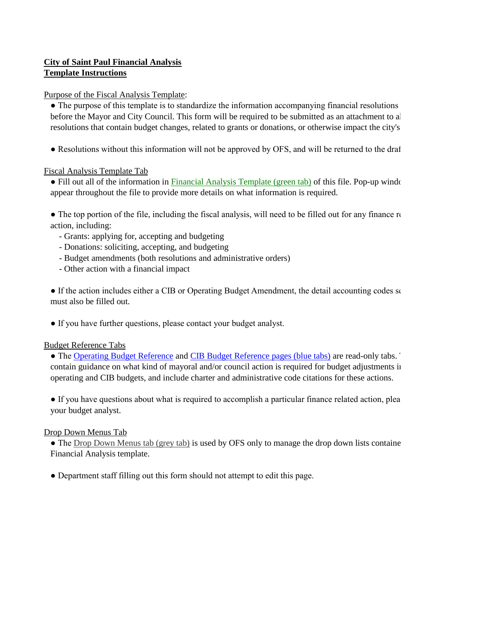## **City of Saint Paul Financial Analysis Template Instructions**

Purpose of the Fiscal Analysis Template:

• The purpose of this template is to standardize the information accompanying financial resolutions before the Mayor and City Council. This form will be required to be submitted as an attachment to all resolutions that contain budget changes, related to grants or donations, or otherwise impact the city's

• Resolutions without this information will not be approved by OFS, and will be returned to the draft

### Fiscal Analysis Template Tab

• Fill out all of the information in Financial Analysis Template (green tab) of this file. Pop-up window appear throughout the file to provide more details on what information is required.

 $\bullet$  The top portion of the file, including the fiscal analysis, will need to be filled out for any finance  $\alpha$ action, including:

- Grants: applying for, accepting and budgeting
- Donations: soliciting, accepting, and budgeting
- Budget amendments (both resolutions and administrative orders)
- Other action with a financial impact

• If the action includes either a CIB or Operating Budget Amendment, the detail accounting codes so must also be filled out.

● If you have further questions, please contact your budget analyst.

### Budget Reference Tabs

• The Operating Budget Reference and CIB Budget Reference pages (blue tabs) are read-only tabs. contain guidance on what kind of mayoral and/or council action is required for budget adjustments in operating and CIB budgets, and include charter and administrative code citations for these actions.

• If you have questions about what is required to accomplish a particular finance related action, plea your budget analyst.

### Drop Down Menus Tab

• The Drop Down Menus tab (grey tab) is used by OFS only to manage the drop down lists containe Financial Analysis template.

● Department staff filling out this form should not attempt to edit this page.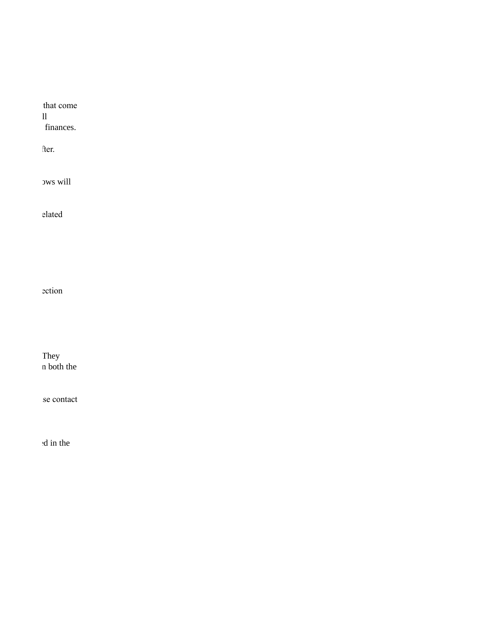that come before the Mayor and City Council. This form will be required to be submitted as an attachment to all finances.

ersolutions with the return with the return will be returned by OFS, and will be returned to the drafter.

ows will

e the top point of the filted of the filted out of the filted out of the filted out for any filled out for any finance related on the filted out for any field out for any field out for any field out for any field out for a

ection includes external

They n both the

se contact

d in the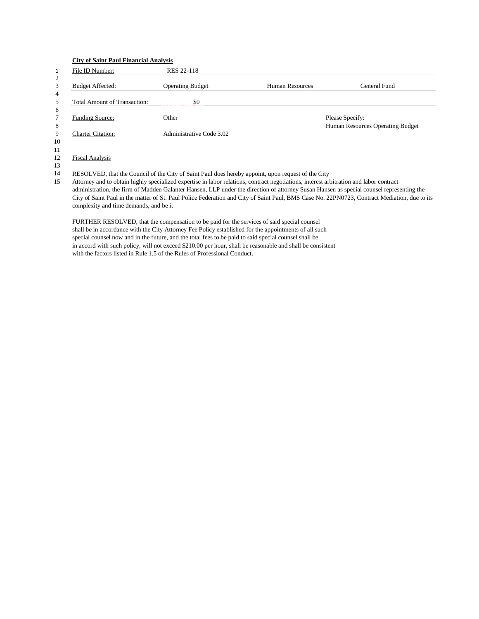#### **City of Saint Paul Financial Analysis**

| $\mathbf 1$    | File ID Number:                     | <b>RES 22-118</b>                                                                                  |                        |                                  |
|----------------|-------------------------------------|----------------------------------------------------------------------------------------------------|------------------------|----------------------------------|
| $\overline{2}$ |                                     |                                                                                                    |                        |                                  |
| 3              | <b>Budget Affected:</b>             | <b>Operating Budget</b>                                                                            | <b>Human Resources</b> | General Fund                     |
| $\overline{4}$ |                                     |                                                                                                    |                        |                                  |
| 5              | <b>Total Amount of Transaction:</b> | \$0                                                                                                |                        |                                  |
| 6              |                                     |                                                                                                    |                        |                                  |
| $\overline{7}$ | <b>Funding Source:</b>              | Other                                                                                              |                        | Please Specify:                  |
| 8              |                                     |                                                                                                    |                        | Human Resources Operating Budget |
| 9              | <b>Charter Citation:</b>            | Administrative Code 3.02                                                                           |                        |                                  |
| 10             |                                     |                                                                                                    |                        |                                  |
| 11             |                                     |                                                                                                    |                        |                                  |
| 12             | <b>Fiscal Analysis</b>              |                                                                                                    |                        |                                  |
| 13             |                                     |                                                                                                    |                        |                                  |
| 14             |                                     | RESOLVED, that the Council of the City of Saint Paul does hereby appoint, upon request of the City |                        |                                  |

15 Attorney and to obtain highly specialized expertise in labor relations, contract negotiations, interest arbitration and labor contract administration, the firm of Madden Galanter Hansen, LLP under the direction of attorney Susan Hansen as special counsel representing the City of Saint Paul in the matter of St. Paul Police Federation and City of Saint Paul, BMS Case No. 22PN0723, Contract Mediation, due to its complexity and time demands, and be it

FURTHER RESOLVED, that the compensation to be paid for the services of said special counsel shall be in accordance with the City Attorney Fee Policy established for the appointments of all such special counsel now and in the future, and the total fees to be paid to said special counsel shall be in accord with such policy, will not exceed \$210.00 per hour, shall be reasonable and shall be consistent with the factors listed in Rule 1.5 of the Rules of Professional Conduct.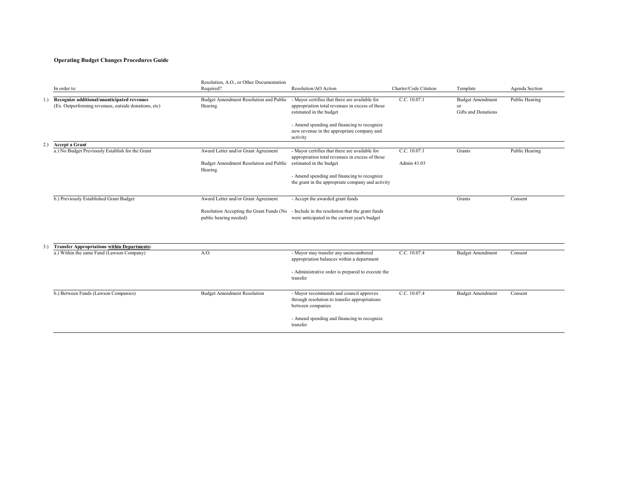|     | In order to:                                                                                        | Resolution, A.O., or Other Documentation<br>Required?              | Resolution/AO Action                                                                                                         | Charter/Code Citation | Template                                                    | Agenda Section |
|-----|-----------------------------------------------------------------------------------------------------|--------------------------------------------------------------------|------------------------------------------------------------------------------------------------------------------------------|-----------------------|-------------------------------------------------------------|----------------|
| 1.) | Recognize additional/unanticipated revenues<br>(Ex. Outperforming revenues, outside donations, etc) | Budget Amendment Resolution and Public<br>Hearing                  | - Mayor certifies that there are available for<br>appropriation total revenues in excess of those<br>estimated in the budget | C.C. 10.07.1          | <b>Budget Amendment</b><br>or<br><b>Gifts and Donations</b> | Public Hearing |
|     |                                                                                                     |                                                                    | - Amend spending and financing to recognize<br>new revenue in the appropriate company and<br>activity                        |                       |                                                             |                |
| 2.) | <b>Accept a Grant</b>                                                                               |                                                                    |                                                                                                                              |                       |                                                             |                |
|     | a.) No Budget Previously Establish for the Grant                                                    | Award Letter and/or Grant Agreement                                | - Mayor certifies that there are available for                                                                               | C.C. 10.07.1          | Grants                                                      | Public Hearing |
|     |                                                                                                     | Budget Amendment Resolution and Public<br>Hearing                  | appropriation total revenues in excess of those<br>estimated in the budget                                                   | Admin 41.03           |                                                             |                |
|     |                                                                                                     |                                                                    | - Amend spending and financing to recognize                                                                                  |                       |                                                             |                |
|     |                                                                                                     |                                                                    | the grant in the appropriate company and activity                                                                            |                       |                                                             |                |
|     | b.) Previously Established Grant Budget                                                             | Award Letter and/or Grant Agreement                                | - Accept the awarded grant funds                                                                                             |                       | Grants                                                      | Consent        |
|     |                                                                                                     | Resolution Accepting the Grant Funds (No<br>public hearing needed) | - Include in the resolution that the grant funds<br>were anticipated in the current year's budget                            |                       |                                                             |                |
| 3.) | <b>Transfer Appropriations within Departments:</b>                                                  |                                                                    |                                                                                                                              |                       |                                                             |                |
|     | a.) Within the same Fund (Lawson Company)                                                           | A.O.                                                               | - Mayor may transfer any unencumbered<br>appropriation balances within a department                                          | C.C. 10.07.4          | <b>Budget Amendment</b>                                     | Consent        |
|     |                                                                                                     |                                                                    | - Administrative order is prepared to execute the<br>transfer                                                                |                       |                                                             |                |
|     | b.) Between Funds (Lawson Companies)                                                                | <b>Budget Amendment Resolution</b>                                 | - Mayor recommends and council approves<br>through resolution to transfer appropriations<br>between companies                | C.C. 10.07.4          | <b>Budget Amendment</b>                                     | Consent        |
|     |                                                                                                     |                                                                    | - Amend spending and financing to recognize<br>transfer                                                                      |                       |                                                             |                |

|                     | Charter/Code Citation       | Template                                             | Agenda Section |  |
|---------------------|-----------------------------|------------------------------------------------------|----------------|--|
| for<br>those        | C.C. 10.07.1                | <b>Budget Amendment</b><br>or<br>Gifts and Donations | Public Hearing |  |
| gnize<br>and        |                             |                                                      |                |  |
| for<br>those        | C.C. 10.07.1<br>Admin 41.03 | Grants                                               | Public Hearing |  |
| gnize<br>d activity |                             |                                                      |                |  |
| funds<br>lget       |                             | Grants                                               | Consent        |  |
| ent<br>cute the     | C.C. 10.07.4                | <b>Budget Amendment</b>                              | Consent        |  |
| es<br>ions<br>gnize | $\overline{C.C. 10.07.4}$   | <b>Budget Amendment</b>                              | Consent        |  |
|                     |                             |                                                      |                |  |

# **Operating Budget Changes Procedures Guide**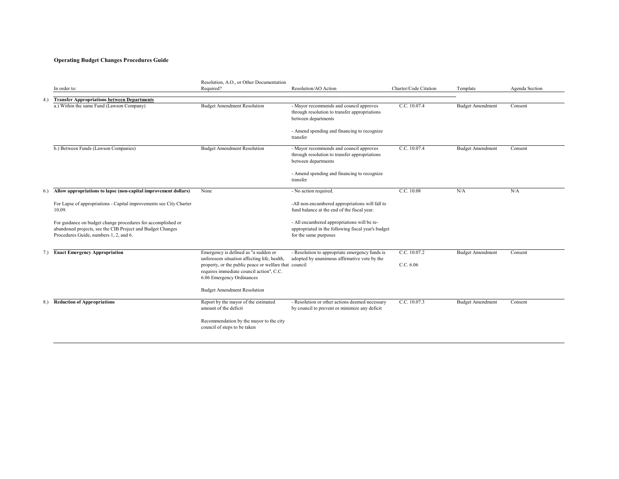# **Operating Budget Changes Procedures Guide**

|     | In order to:                                                                                                                                                         | Resolution, A.O., or Other Documentation<br>Required?                                                                                                                          | Resolution/AO Action                                                                                                       | Charter/Code Citation | Template                | Agenda Section |
|-----|----------------------------------------------------------------------------------------------------------------------------------------------------------------------|--------------------------------------------------------------------------------------------------------------------------------------------------------------------------------|----------------------------------------------------------------------------------------------------------------------------|-----------------------|-------------------------|----------------|
| 4.) | <b>Transfer Appropriations between Departments</b>                                                                                                                   |                                                                                                                                                                                |                                                                                                                            |                       |                         |                |
|     | a.) Within the same Fund (Lawson Company)                                                                                                                            | <b>Budget Amendment Resolution</b>                                                                                                                                             | - Mayor recommends and council approves<br>through resolution to transfer appropriations<br>between departments            | C.C. 10.07.4          | <b>Budget Amendment</b> | Consent        |
|     |                                                                                                                                                                      |                                                                                                                                                                                | - Amend spending and financing to recognize<br>transfer                                                                    |                       |                         |                |
|     | b.) Between Funds (Lawson Companies)                                                                                                                                 | <b>Budget Amendment Resolution</b>                                                                                                                                             | - Mayor recommends and council approves<br>through resolution to transfer appropriations<br>between departments            | C.C. 10.07.4          | <b>Budget Amendment</b> | Consent        |
|     |                                                                                                                                                                      |                                                                                                                                                                                | - Amend spending and financing to recognize<br>transfer                                                                    |                       |                         |                |
| 6.) | Allow appropriations to lapse (non-capital improvement dollars)                                                                                                      | None                                                                                                                                                                           | - No action required.                                                                                                      | C.C. 10.08            | N/A                     | N/A            |
|     | For Lapse of appropriations - Capital improvements see City Charter<br>10.09.                                                                                        |                                                                                                                                                                                | -All non-encumbered appropriations will fall to<br>fund balance at the end of the fiscal year.                             |                       |                         |                |
|     | For guidance on budget change procedures for accomplished or<br>abandoned projects, see the CIB Project and Budget Changes<br>Procedures Guide, numbers 1, 2, and 6. |                                                                                                                                                                                | - All encumbered appropriations will be re-<br>appropriated in the following fiscal year's budget<br>for the same purposes |                       |                         |                |
| 7.  | <b>Enact Emergency Appropriation</b>                                                                                                                                 | Emergency is defined as "a sudden or                                                                                                                                           | - Resolution to appropriate emergency funds is                                                                             | C.C. 10.07.2          | <b>Budget Amendment</b> | Consent        |
|     |                                                                                                                                                                      | unforeseen situation affecting life, health,<br>property, or the public peace or welfare that council<br>requires immediate council action", C.C.<br>6.06 Emergency Ordinances | adopted by unanimous affirmative vote by the                                                                               | C.C. 6.06             |                         |                |
|     |                                                                                                                                                                      | <b>Budget Amendment Resolution</b>                                                                                                                                             |                                                                                                                            |                       |                         |                |
|     | 8.) Reduction of Appropriations                                                                                                                                      | Report by the mayor of the estimated<br>amount of the deficit                                                                                                                  | - Resolution or other actions deemed necessary<br>by council to prevent or minimize any deficit                            | C.C. 10.07.3          | <b>Budget Amendment</b> | Consent        |
|     |                                                                                                                                                                      | Recommendation by the mayor to the city<br>council of steps to be taken                                                                                                        |                                                                                                                            |                       |                         |                |

|                      | Charter/Code Citation | Template                | Agenda Section |  |
|----------------------|-----------------------|-------------------------|----------------|--|
|                      |                       |                         |                |  |
| oves<br>ations       | C.C. 10.07.4          | <b>Budget Amendment</b> | Consent        |  |
| cognize              |                       |                         |                |  |
| oves<br>ations       | C.C. 10.07.4          | <b>Budget Amendment</b> | Consent        |  |
| cognize              |                       |                         |                |  |
|                      | C.C. 10.08            | $\rm N/A$               | $\rm N/A$      |  |
| ill fall to<br>ar.   |                       |                         |                |  |
| e re-<br>ar's budget |                       |                         |                |  |
| funds is             | C.C. 10.07.2          | <b>Budget Amendment</b> | Consent        |  |
| e by the             | C.C. 6.06             |                         |                |  |
|                      |                       |                         |                |  |
| ecessary<br>deficit  | C.C. 10.07.3          | <b>Budget Amendment</b> | Consent        |  |
|                      |                       |                         |                |  |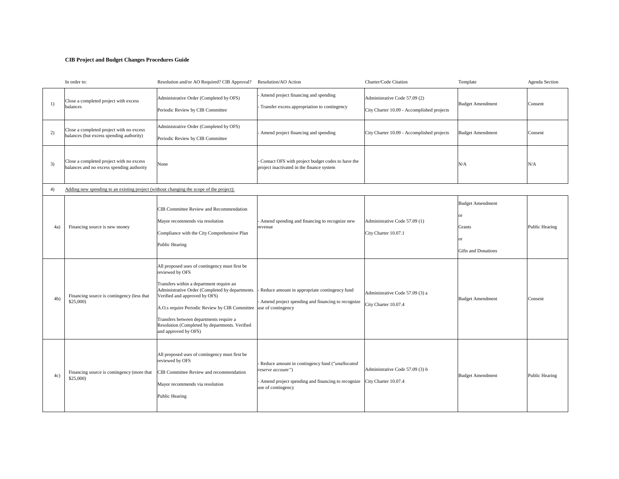|     | In order to:                                                                            | Resolution and/or AO Required? CIB Approval?                                                                                                                                                                                                                                                                                                                                                | Resolution/AO Action                                                                                                                                                   | Charter/Code Citation                                                       | Template                                                                           | <b>Agenda Section</b> |
|-----|-----------------------------------------------------------------------------------------|---------------------------------------------------------------------------------------------------------------------------------------------------------------------------------------------------------------------------------------------------------------------------------------------------------------------------------------------------------------------------------------------|------------------------------------------------------------------------------------------------------------------------------------------------------------------------|-----------------------------------------------------------------------------|------------------------------------------------------------------------------------|-----------------------|
| 1)  | Close a completed project with excess<br>balances                                       | Administrative Order (Completed by OFS)<br>Periodic Review by CIB Committee                                                                                                                                                                                                                                                                                                                 | Amend project financing and spending<br>- Transfer excess appropriation to contingency                                                                                 | Administrative Code 57.09 (2)<br>City Charter 10.09 - Accomplished projects | <b>Budget Amendment</b>                                                            | Consent               |
| 2)  | Close a completed project with no excess<br>balances (but excess spending authority)    | Administrative Order (Completed by OFS)<br>Periodic Review by CIB Committee                                                                                                                                                                                                                                                                                                                 | - Amend project financing and spending                                                                                                                                 | City Charter 10.09 - Accomplished projects                                  | <b>Budget Amendment</b>                                                            | Consent               |
| 3)  | Close a completed project with no excess<br>balances and no excess spending authority   | None                                                                                                                                                                                                                                                                                                                                                                                        | Contact OFS with project budget codes to have the<br>project inactivated in the finance system                                                                         |                                                                             | N/A                                                                                | N/A                   |
| 4)  | Adding new spending to an existing project (without changing the scope of the project): |                                                                                                                                                                                                                                                                                                                                                                                             |                                                                                                                                                                        |                                                                             |                                                                                    |                       |
| 4a) | Financing source is new money                                                           | <b>CIB Committee Review and Recommendation</b><br>Mayor recommends via resolution<br>Compliance with the City Comprehensive Plan<br>Public Hearing                                                                                                                                                                                                                                          | - Amend spending and financing to recognize new<br>revenue                                                                                                             | Administrative Code 57.09 (1)<br>City Charter 10.07.1                       | <b>Budget Amendment</b><br>or<br>Grants<br><b>or</b><br><b>Gifts and Donations</b> | Public Hearing        |
| 4b) | Financing source is contingency (less that<br>\$25,000                                  | All proposed uses of contingency must first be<br>reviewed by OFS<br>Transfers within a department require an<br>Administrative Order (Completed by departments.<br>Verified and approved by OFS)<br>A.O.s require Periodic Review by CIB Committee use of contingency<br>Transfers between departments require a<br>Resolution (Completed by departments. Verified<br>and approved by OFS) | Reduce amount in appropriate contingency fund<br>- Amend project spending and financing to recognize                                                                   | Administrative Code 57.09 (3) a<br>City Charter 10.07.4                     | <b>Budget Amendment</b>                                                            | Consent               |
| 4c) | Financing source is contingency (more that<br>\$25,000)                                 | All proposed uses of contingency must first be<br>reviewed by OFS<br>CIB Committee Review and recommendation<br>Mayor recommends via resolution<br>Public Hearing                                                                                                                                                                                                                           | Reduce amount in contingency fund ("unallocated<br>reserve account")<br>- Amend project spending and financing to recognize City Charter 10.07.4<br>use of contingency | Administrative Code 57.09 (3) b                                             | <b>Budget Amendment</b>                                                            | Public Hearing        |

# **CIB Project and Budget Changes Procedures Guide**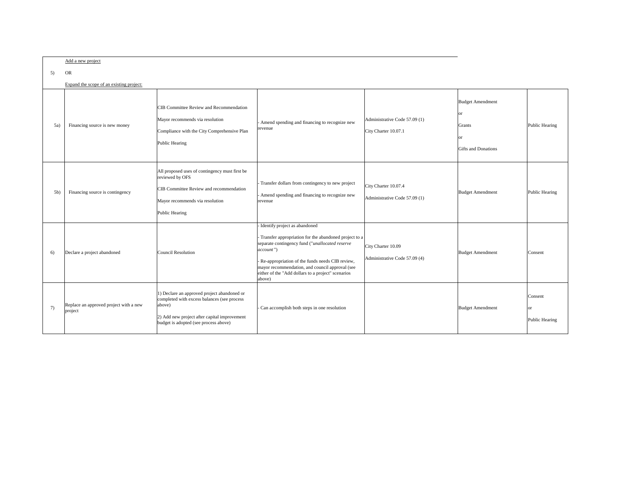|     | Add a new project                                 |                                                                                                                                                                                               |                                                                                                                                                                                                                                                                                                                                  |                                                       |                                                                               |                                   |
|-----|---------------------------------------------------|-----------------------------------------------------------------------------------------------------------------------------------------------------------------------------------------------|----------------------------------------------------------------------------------------------------------------------------------------------------------------------------------------------------------------------------------------------------------------------------------------------------------------------------------|-------------------------------------------------------|-------------------------------------------------------------------------------|-----------------------------------|
| 5)  | <b>OR</b>                                         |                                                                                                                                                                                               |                                                                                                                                                                                                                                                                                                                                  |                                                       |                                                                               |                                   |
|     | Expand the scope of an existing project:          |                                                                                                                                                                                               |                                                                                                                                                                                                                                                                                                                                  |                                                       |                                                                               |                                   |
| 5a) | Financing source is new money                     | <b>CIB Committee Review and Recommendation</b><br>Mayor recommends via resolution<br>Compliance with the City Comprehensive Plan<br>Public Hearing                                            | Amend spending and financing to recognize new<br>revenue                                                                                                                                                                                                                                                                         | Administrative Code 57.09 (1)<br>City Charter 10.07.1 | <b>Budget Amendment</b><br> or<br>Grants<br> or<br><b>Gifts</b> and Donations | Public Hearing                    |
| 5b) | Financing source is contingency                   | All proposed uses of contingency must first be<br>reviewed by OFS<br>CIB Committee Review and recommendation<br>Mayor recommends via resolution<br>Public Hearing                             | - Transfer dollars from contingency to new project<br>Amend spending and financing to recognize new<br>revenue                                                                                                                                                                                                                   | City Charter 10.07.4<br>Administrative Code 57.09 (1) | <b>Budget Amendment</b>                                                       | Public Hearing                    |
| 6)  | Declare a project abandoned                       | Council Resolution                                                                                                                                                                            | Identify project as abandoned<br>Transfer appropriation for the abandoned project to a<br>separate contingency fund ("unallocated reserve<br>$ account"$ )<br>Re-appropriation of the funds needs CIB review,<br>mayor recommendation, and council approval (see<br>either of the "Add dollars to a project" scenarios<br>above) | City Charter 10.09<br>Administrative Code 57.09 (4)   | <b>Budget Amendment</b>                                                       | Consent                           |
| 7)  | Replace an approved project with a new<br>project | 1) Declare an approved project abandoned or<br>completed with excess balances (see process<br>above)<br>2) Add new project after capital improvement<br>budget is adopted (see process above) | Can accomplish both steps in one resolution                                                                                                                                                                                                                                                                                      |                                                       | <b>Budget Amendment</b>                                                       | Consent<br> or <br>Public Hearing |